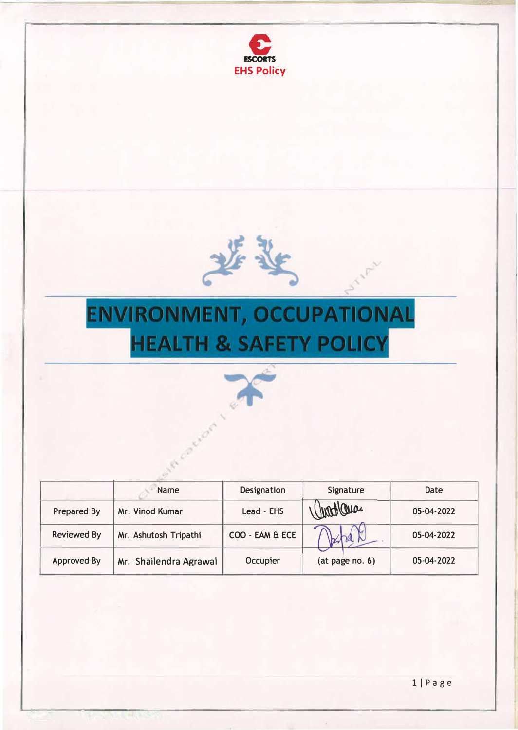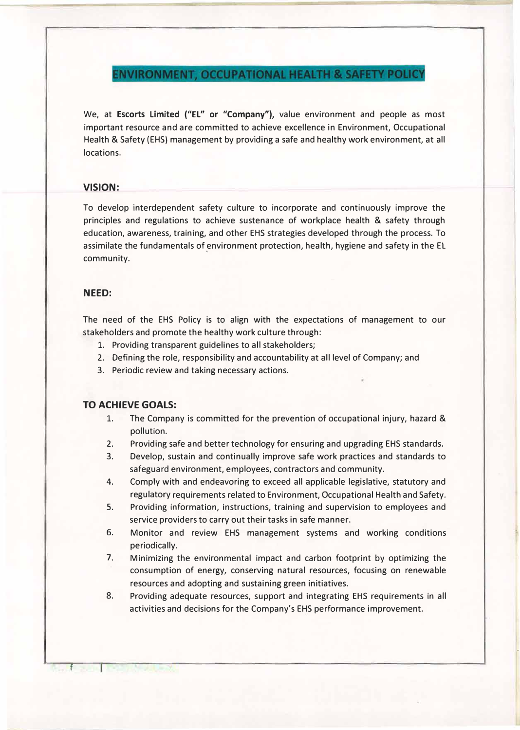**ENVIRONMENT, OCCUPATIONAL HEALTH & SAFETY POLICY** 

We, at **Escorts Limited ("EL" or "Company"),** value environment and people as most important resource and are committed to achieve excellence in Environment, Occupational Health & Safety (EHS) management by providing a safe and healthy work environment, at all locations.

# **VISION:**

To develop interdependent safety culture to incorporate and continuously improve the principles and regulations to achieve sustenance of workplace health & safety through education, awareness, training, and other EHS strategies developed through the process. To assimilate the fundamentals of environment protection, health, hygiene and safety in the EL , community.

# **NEED:**

The need of the EHS Policy is to align with the expectations of management to our stakeholders and promote the healthy work culture through:

- 1. Providing transparent guidelines to all stakeholders;
- 2. Defining the role, responsibility and accountability at all level of Company; and
- 3. Periodic review and taking necessary actions.

# **TO ACHIEVE GOALS:**

- 1. The Company is committed for the prevention of occupational injury, hazard & pollution.
- 2. Providing safe and better technology for ensuring and upgrading EHS standards.
- 3. Develop, sustain and continually improve safe work practices and standards to safeguard environment, employees, contractors and community.
- 4. Comply with and endeavoring to exceed all applicable legislative, statutory and regulatory requirements related to Environment, Occupational Health and Safety.
- 5. Providing information, instructions, training and supervision to employees and service providers to carry out their tasks in safe manner.
- 6. Monitor and review EHS management systems and working conditions periodically.
- 7. Minimizing the environmental impact and carbon footprint by optimizing the consumption of energy, conserving natural resources, focusing on renewable resources and adopting and sustaining green initiatives.
- 8. Providing adequate resources, support and integrating EHS requirements in all activities and decisions for the Company's EHS performance improvement.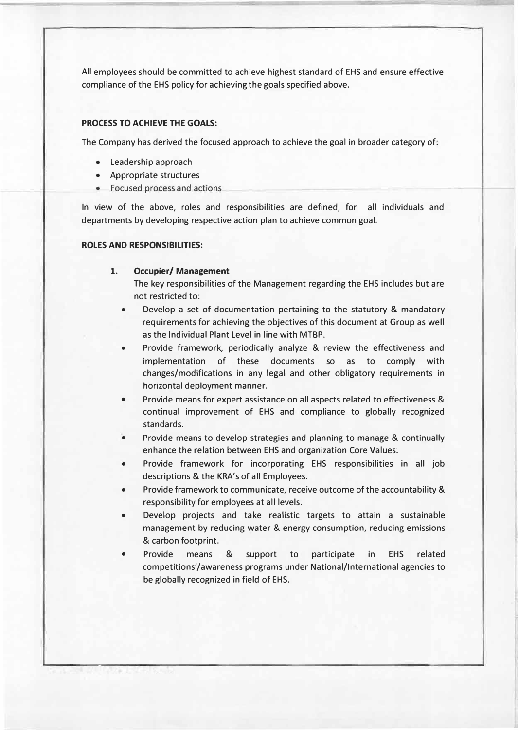All employees should be committed to achieve highest standard of EHS and ensure effective compliance of the EHS policy for achieving the goals specified above.

## **PROCESS TO ACHIEVE THE GOALS:**

The Company has derived the focused approach to achieve the goal in broader category of:

- Leadership approach
- Appropriate structures
- Focused process and actions

In view of the above, roles and responsibilities are defined, for all individuals and departments by developing respective action plan to achieve common goal.

#### **ROLES AND RESPONSIBILITIES:**

## **1. Occupier/ Management**

The key responsibilities of the Management regarding the EHS includes but are not restricted to:

- Develop a set of documentation pertaining to the statutory & mandatory requirements for achieving the objectives of this document at Group as well as the Individual Plant Level in line with MTBP.
- Provide framework, periodically analyze & review the effectiveness and implementation of these documents so as to comply with changes/modifications in any legal and other obligatory requirements in horizontal deployment manner.
- Provide means for expert assistance on all aspects related to effectiveness & continual improvement of EHS and compliance to globally recognized standards.
- Provide means to develop strategies and planning to manage & continually enhance the relation between EHS and organization Core Values:
- Provide framework for incorporating EHS responsibilities in all job descriptions & the KRA's of all Employees.
- Provide framework to communicate, receive outcome of the accountability & responsibility for employees at all levels.
- Develop projects and take realistic targets to attain a sustainable management by reducing water & energy consumption, reducing emissions & carbon footprint.
- Provide means & support to participate in EHS related competitions'/awareness programs under National/International agencies to be globally recognized in field of EHS.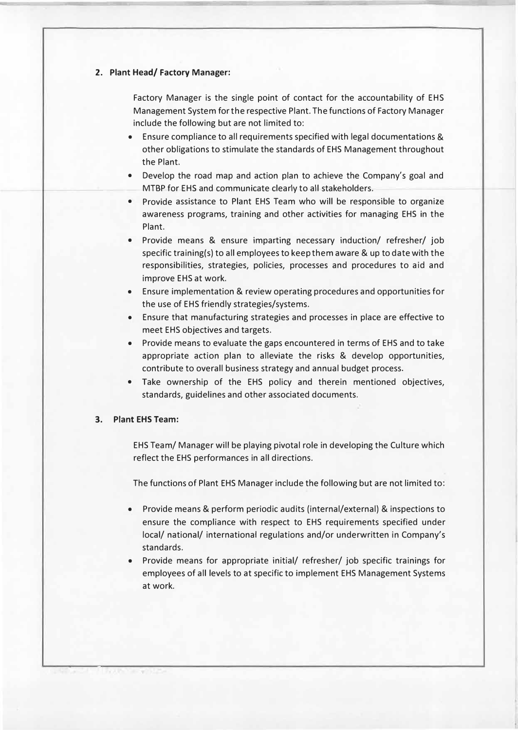#### **2. Plant Head/ Factory Manager:**

Factory Manager is the single point of contact for the accountability of EHS Management System for the respective Plant. The functions of Factory Manager include the following but are not limited to:

- Ensure compliance to all requirements specified with legal documentations & other obligations to stimulate the standards of EHS Management throughout the Plant.
- Develop the road map and action plan to achieve the Company's goal and MTBP for EHS and communicate clearly to all stakeholders.
- Provide assistance to Plant EHS Team who will be responsible to organize awareness programs, training and other activities for managing EHS in the Plant.
- Provide means & ensure imparting necessary induction/ refresher/ job specific training(s) to all employees to keep them aware & up to date with the responsibilities, strategies, policies, processes and procedures to aid and improve EHS at work.
- Ensure implementation & review operating procedures and opportunities for the use of EHS friendly strategies/systems.
- Ensure that manufacturing strategies and processes in place are effective to meet EHS objectives and targets.
- Provide means to evaluate the gaps encountered in terms of EHS and to take appropriate action plan to alleviate the risks & develop opportunities, contribute to overall business strategy and annual budget process.
- Take ownership of the EHS policy and therein mentioned objectives, standards, guidelines and other associated documents.

### **3. Plant EHS Team:**

EHS Team/ Manager will be playing pivotal role in developing the Culture which reflect the EHS performances in all directions.

The functions of Plant EHS Manager include the following but are not limited to:

- Provide means & perform periodic audits (internal/external) & inspections to ensure the compliance with respect to EHS requirements specified under local/ national/ international regulations and/or underwritten in Company's standards.
- Provide means for appropriate initial/ refresher/ job specific trainings for employees of all levels to at specific to implement EHS Management Systems at work.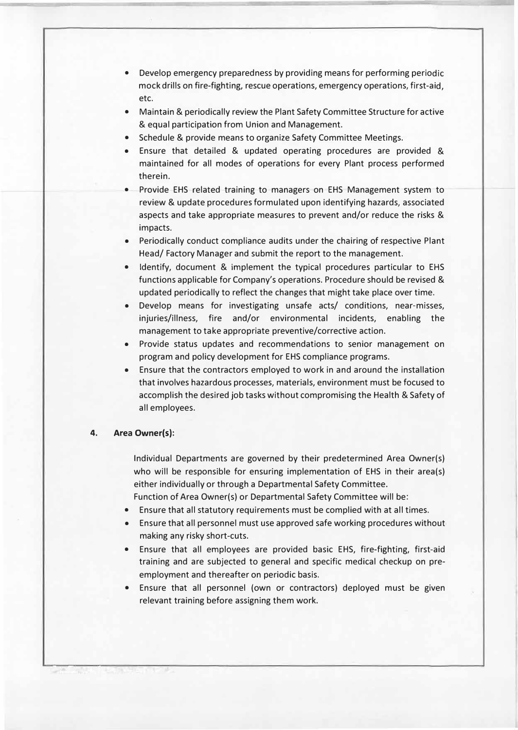- Develop emergency preparedness by providing means for performing periodic mock drills on fire-fighting, rescue operations, emergency operations, first-aid, etc.
- Maintain & periodically review the Plant Safety Committee Structure for active & equal participation from Union and Management.
- Schedule & provide means to organize Safety Committee Meetings.
- Ensure that detailed & updated operating procedures are provided & maintained for all modes of operations for every Plant process performed therein.
- Provide EHS related training to managers on EHS Management system to review & update procedures formulated upon identifying hazards, associated aspects and take appropriate measures to prevent and/or reduce the risks & impacts.
- Periodically conduct compliance audits under the chairing of respective Plant Head/ Factory Manager and submit the report to the management.
- Identify, document & implement the typical procedures particular to EHS functions applicable for Company's operations. Procedure should be revised & updated periodically to reflect the changes that might take place over time.
- Develop means for investigating unsafe acts/ conditions, near-misses, injuries/illness, fire and/or environmental incidents, enabling the management to take appropriate preventive/corrective action.
- Provide status updates and recommendations to senior management on program and policy development for EHS compliance programs.
- Ensure that the contractors employed to work in and around the installation that involves hazardous processes, materials, environment must be focused to accomplish the desired job tasks without compromising the Health & Safety of all employees.

### **4. Area Owner(s):**

Individual Departments are governed by their predetermined Area Owner(s) who will be responsible for ensuring implementation of EHS in their area(s) either individually or through a Departmental Safety Committee.

Function of Area Owner(s) or Departmental Safety Committee will be:

- Ensure that all statutory requirements must be complied with at all times.
- Ensure that all personnel must use approved safe working procedures without making any risky short-cuts.
- Ensure that all employees are provided basic EHS, fire-fighting, first-aid training and are subjected to general and specific medical checkup on preemployment and thereafter on periodic basis.
- Ensure that all personnel (own or contractors) deployed must be given relevant training before assigning them work.